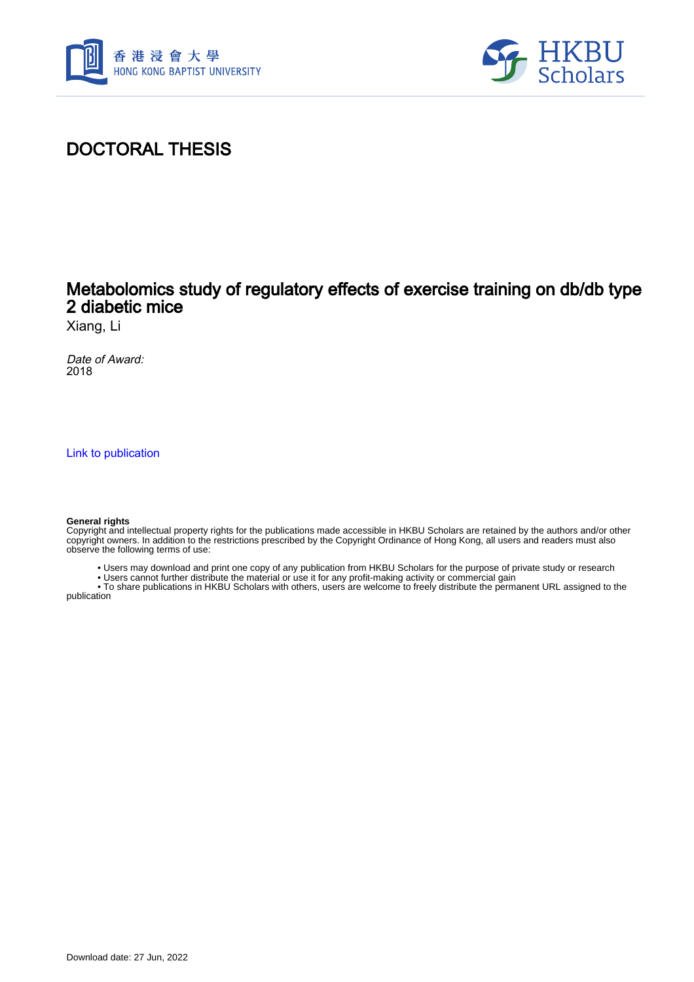



## DOCTORAL THESIS

## Metabolomics study of regulatory effects of exercise training on db/db type 2 diabetic mice

Xiang, Li

Date of Award: 2018

[Link to publication](https://scholars.hkbu.edu.hk/en/studentTheses/f3367212-6470-4b1b-9a42-66bee1ed1cae)

## **General rights**

Copyright and intellectual property rights for the publications made accessible in HKBU Scholars are retained by the authors and/or other copyright owners. In addition to the restrictions prescribed by the Copyright Ordinance of Hong Kong, all users and readers must also observe the following terms of use:

- Users may download and print one copy of any publication from HKBU Scholars for the purpose of private study or research
- Users cannot further distribute the material or use it for any profit-making activity or commercial gain

 • To share publications in HKBU Scholars with others, users are welcome to freely distribute the permanent URL assigned to the publication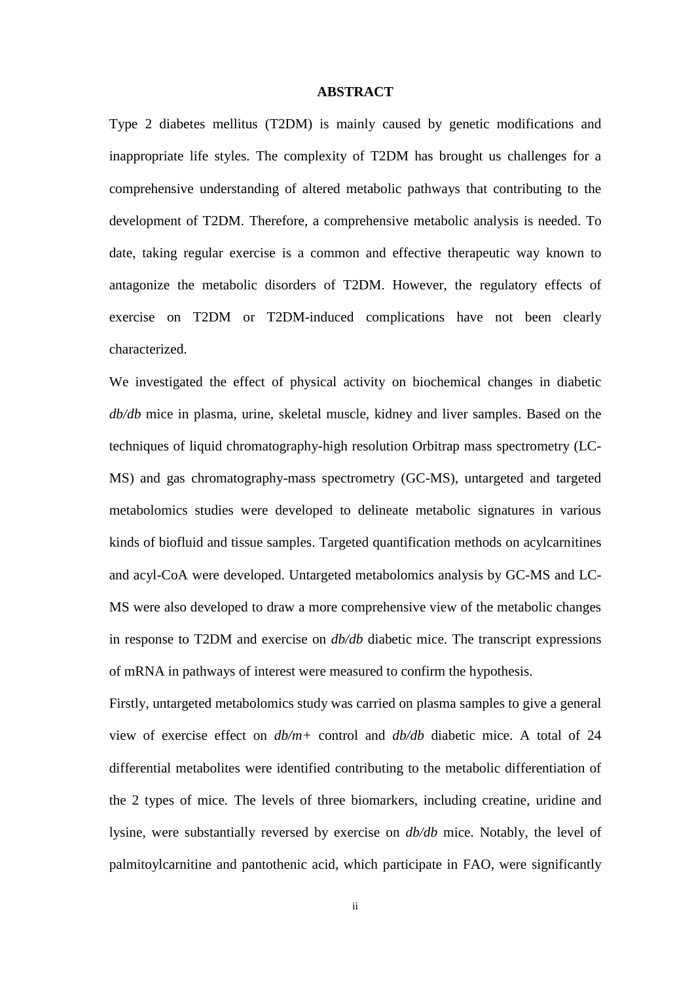## **ABSTRACT**

<span id="page-1-0"></span>Type 2 diabetes mellitus (T2DM) is mainly caused by genetic modifications and inappropriate life styles. The complexity of T2DM has brought us challenges for a comprehensive understanding of altered metabolic pathways that contributing to the development of T2DM. Therefore, a comprehensive metabolic analysis is needed. To date, taking regular exercise is a common and effective therapeutic way known to antagonize the metabolic disorders of T2DM. However, the regulatory effects of exercise on T2DM or T2DM-induced complications have not been clearly characterized.

We investigated the effect of physical activity on biochemical changes in diabetic *db/db* mice in plasma, urine, skeletal muscle, kidney and liver samples. Based on the techniques of liquid chromatography-high resolution Orbitrap mass spectrometry (LC-MS) and gas chromatography-mass spectrometry (GC-MS), untargeted and targeted metabolomics studies were developed to delineate metabolic signatures in various kinds of biofluid and tissue samples. Targeted quantification methods on acylcarnitines and acyl-CoA were developed. Untargeted metabolomics analysis by GC-MS and LC-MS were also developed to draw a more comprehensive view of the metabolic changes in response to T2DM and exercise on *db/db* diabetic mice. The transcript expressions of mRNA in pathways of interest were measured to confirm the hypothesis.

Firstly, untargeted metabolomics study was carried on plasma samples to give a general view of exercise effect on *db/m+* control and *db/db* diabetic mice. A total of 24 differential metabolites were identified contributing to the metabolic differentiation of the 2 types of mice. The levels of three biomarkers, including creatine, uridine and lysine, were substantially reversed by exercise on *db/db* mice. Notably, the level of palmitoylcarnitine and pantothenic acid, which participate in FAO, were significantly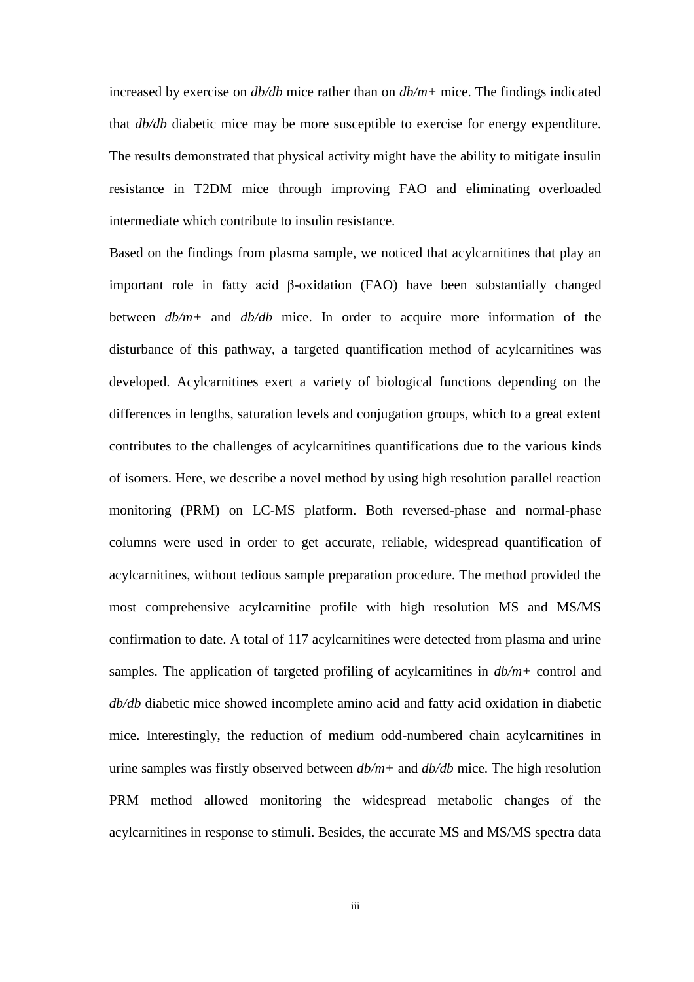increased by exercise on *db/db* mice rather than on *db/m+* mice. The findings indicated that *db/db* diabetic mice may be more susceptible to exercise for energy expenditure. The results demonstrated that physical activity might have the ability to mitigate insulin resistance in T2DM mice through improving FAO and eliminating overloaded intermediate which contribute to insulin resistance.

Based on the findings from plasma sample, we noticed that acylcarnitines that play an important role in fatty acid β-oxidation (FAO) have been substantially changed between *db/m+* and *db/db* mice. In order to acquire more information of the disturbance of this pathway, a targeted quantification method of acylcarnitines was developed. Acylcarnitines exert a variety of biological functions depending on the differences in lengths, saturation levels and conjugation groups, which to a great extent contributes to the challenges of acylcarnitines quantifications due to the various kinds of isomers. Here, we describe a novel method by using high resolution parallel reaction monitoring (PRM) on LC-MS platform. Both reversed-phase and normal-phase columns were used in order to get accurate, reliable, widespread quantification of acylcarnitines, without tedious sample preparation procedure. The method provided the most comprehensive acylcarnitine profile with high resolution MS and MS/MS confirmation to date. A total of 117 acylcarnitines were detected from plasma and urine samples. The application of targeted profiling of acylcarnitines in *db/m+* control and *db/db* diabetic mice showed incomplete amino acid and fatty acid oxidation in diabetic mice. Interestingly, the reduction of medium odd-numbered chain acylcarnitines in urine samples was firstly observed between *db/m+* and *db/db* mice. The high resolution PRM method allowed monitoring the widespread metabolic changes of the acylcarnitines in response to stimuli. Besides, the accurate MS and MS/MS spectra data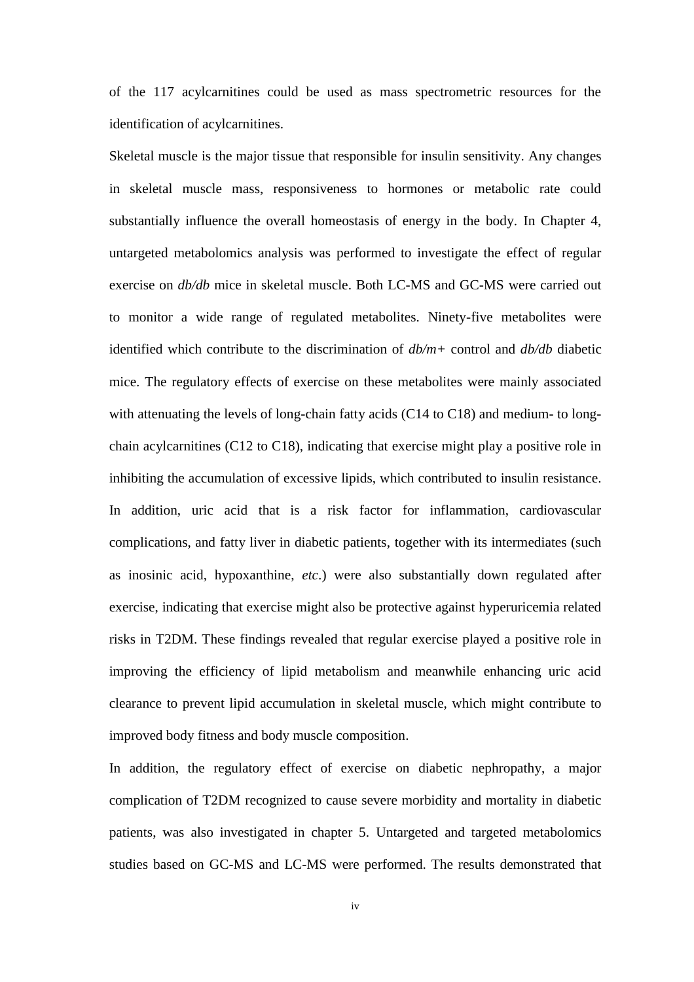of the 117 acylcarnitines could be used as mass spectrometric resources for the identification of acylcarnitines.

Skeletal muscle is the major tissue that responsible for insulin sensitivity. Any changes in skeletal muscle mass, responsiveness to hormones or metabolic rate could substantially influence the overall homeostasis of energy in the body. In Chapter 4, untargeted metabolomics analysis was performed to investigate the effect of regular exercise on *db/db* mice in skeletal muscle. Both LC-MS and GC-MS were carried out to monitor a wide range of regulated metabolites. Ninety-five metabolites were identified which contribute to the discrimination of *db/m+* control and *db/db* diabetic mice. The regulatory effects of exercise on these metabolites were mainly associated with attenuating the levels of long-chain fatty acids (C14 to C18) and medium- to longchain acylcarnitines (C12 to C18), indicating that exercise might play a positive role in inhibiting the accumulation of excessive lipids, which contributed to insulin resistance. In addition, uric acid that is a risk factor for inflammation, cardiovascular complications, and fatty liver in diabetic patients, together with its intermediates (such as inosinic acid, hypoxanthine, *etc*.) were also substantially down regulated after exercise, indicating that exercise might also be protective against hyperuricemia related risks in T2DM. These findings revealed that regular exercise played a positive role in improving the efficiency of lipid metabolism and meanwhile enhancing uric acid clearance to prevent lipid accumulation in skeletal muscle, which might contribute to improved body fitness and body muscle composition.

In addition, the regulatory effect of exercise on diabetic nephropathy, a major complication of T2DM recognized to cause severe morbidity and mortality in diabetic patients, was also investigated in chapter 5. Untargeted and targeted metabolomics studies based on GC-MS and LC-MS were performed. The results demonstrated that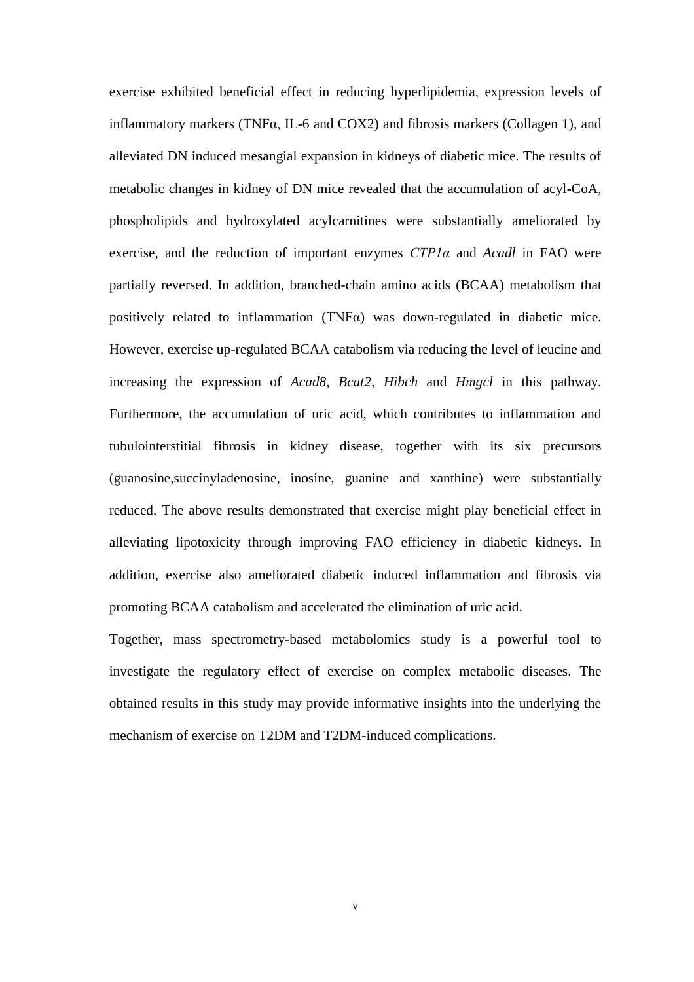exercise exhibited beneficial effect in reducing hyperlipidemia, expression levels of inflammatory markers (TNF $\alpha$ , IL-6 and COX2) and fibrosis markers (Collagen 1), and alleviated DN induced mesangial expansion in kidneys of diabetic mice. The results of metabolic changes in kidney of DN mice revealed that the accumulation of acyl-CoA, phospholipids and hydroxylated acylcarnitines were substantially ameliorated by exercise, and the reduction of important enzymes *CTP1α* and *Acadl* in FAO were partially reversed. In addition, branched-chain amino acids (BCAA) metabolism that positively related to inflammation (TNFα) was down-regulated in diabetic mice. However, exercise up-regulated BCAA catabolism via reducing the level of leucine and increasing the expression of *Acad8*, *Bcat2*, *Hibch* and *Hmgcl* in this pathway. Furthermore, the accumulation of uric acid, which contributes to inflammation and tubulointerstitial fibrosis in kidney disease, together with its six precursors (guanosine,succinyladenosine, inosine, guanine and xanthine) were substantially reduced. The above results demonstrated that exercise might play beneficial effect in alleviating lipotoxicity through improving FAO efficiency in diabetic kidneys. In addition, exercise also ameliorated diabetic induced inflammation and fibrosis via promoting BCAA catabolism and accelerated the elimination of uric acid.

Together, mass spectrometry-based metabolomics study is a powerful tool to investigate the regulatory effect of exercise on complex metabolic diseases. The obtained results in this study may provide informative insights into the underlying the mechanism of exercise on T2DM and T2DM-induced complications.

v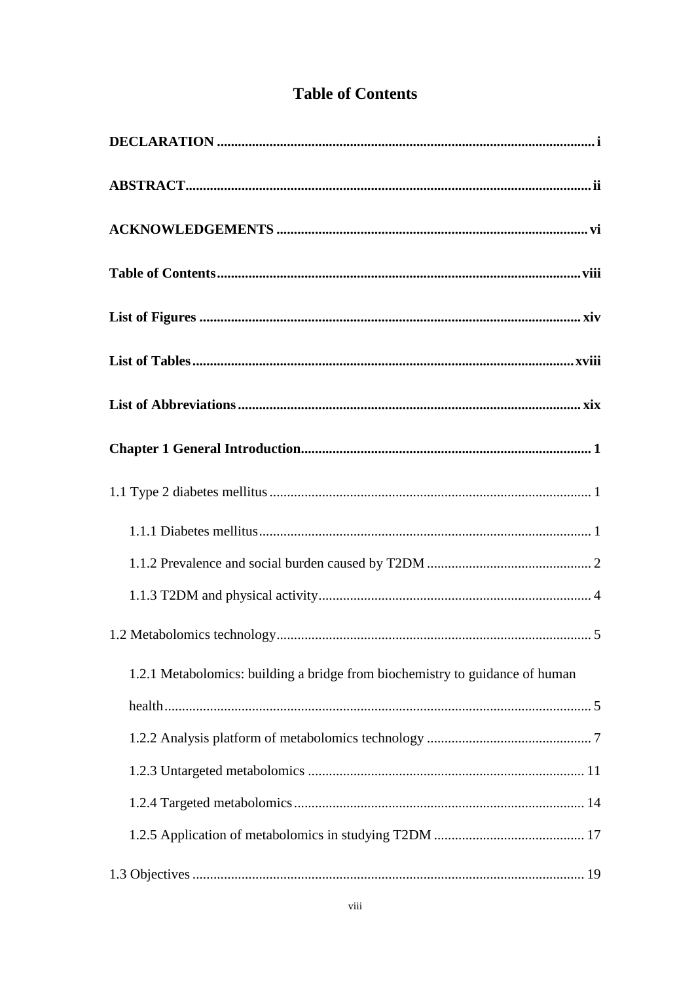| <b>Table of Contents</b> |
|--------------------------|
|--------------------------|

<span id="page-5-0"></span>

| 1.2.1 Metabolomics: building a bridge from biochemistry to guidance of human |
|------------------------------------------------------------------------------|
|                                                                              |
|                                                                              |
|                                                                              |
|                                                                              |
|                                                                              |
|                                                                              |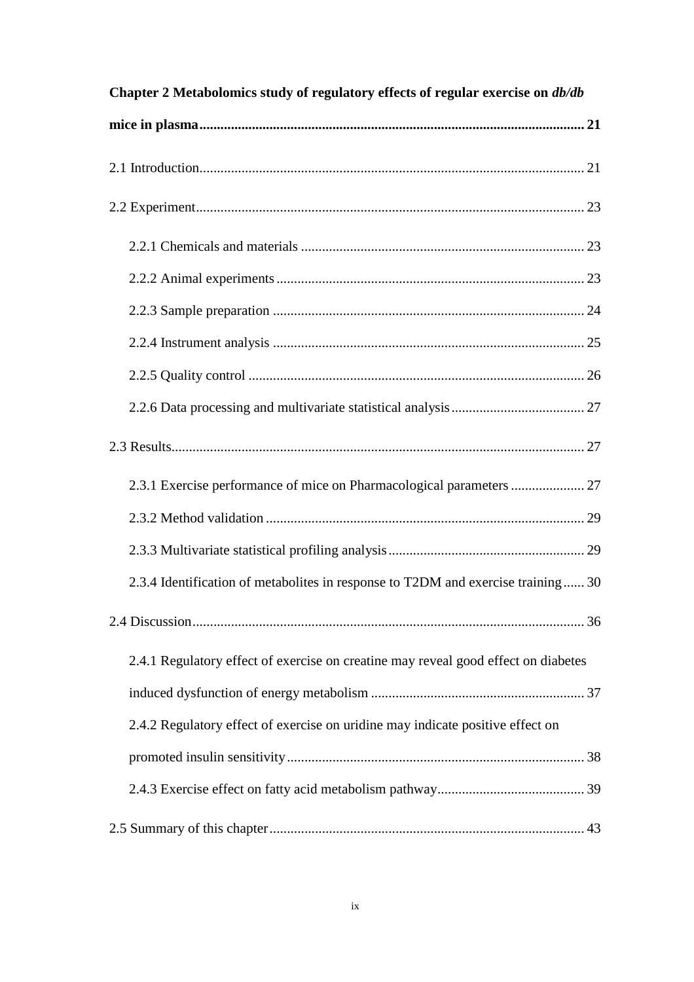| Chapter 2 Metabolomics study of regulatory effects of regular exercise on db/db    |
|------------------------------------------------------------------------------------|
|                                                                                    |
|                                                                                    |
|                                                                                    |
|                                                                                    |
|                                                                                    |
|                                                                                    |
|                                                                                    |
|                                                                                    |
|                                                                                    |
|                                                                                    |
| 2.3.1 Exercise performance of mice on Pharmacological parameters  27               |
|                                                                                    |
|                                                                                    |
| 2.3.4 Identification of metabolites in response to T2DM and exercise training 30   |
|                                                                                    |
| 2.4.1 Regulatory effect of exercise on creatine may reveal good effect on diabetes |
|                                                                                    |
| 2.4.2 Regulatory effect of exercise on uridine may indicate positive effect on     |
|                                                                                    |
|                                                                                    |
|                                                                                    |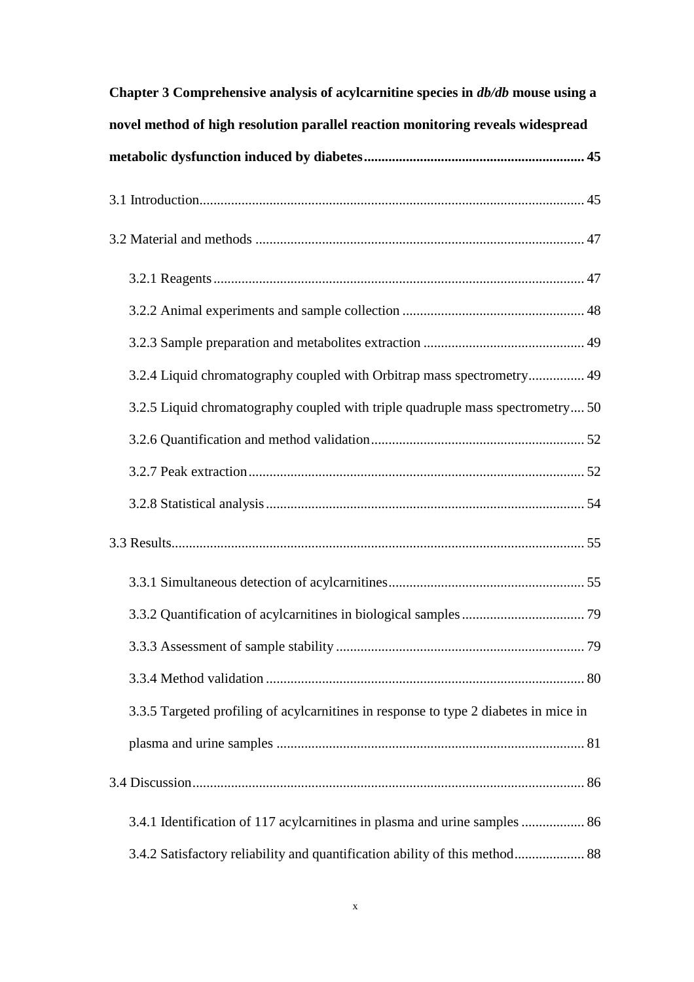| Chapter 3 Comprehensive analysis of acylcarnitine species in <i>db/db</i> mouse using a |
|-----------------------------------------------------------------------------------------|
| novel method of high resolution parallel reaction monitoring reveals widespread         |
|                                                                                         |
|                                                                                         |
|                                                                                         |
|                                                                                         |
|                                                                                         |
|                                                                                         |
| 3.2.4 Liquid chromatography coupled with Orbitrap mass spectrometry 49                  |
| 3.2.5 Liquid chromatography coupled with triple quadruple mass spectrometry 50          |
|                                                                                         |
|                                                                                         |
|                                                                                         |
|                                                                                         |
|                                                                                         |
|                                                                                         |
|                                                                                         |
|                                                                                         |
| 3.3.5 Targeted profiling of acylcarnitines in response to type 2 diabetes in mice in    |
|                                                                                         |
|                                                                                         |
| 3.4.1 Identification of 117 acylcarnitines in plasma and urine samples  86              |
| 3.4.2 Satisfactory reliability and quantification ability of this method 88             |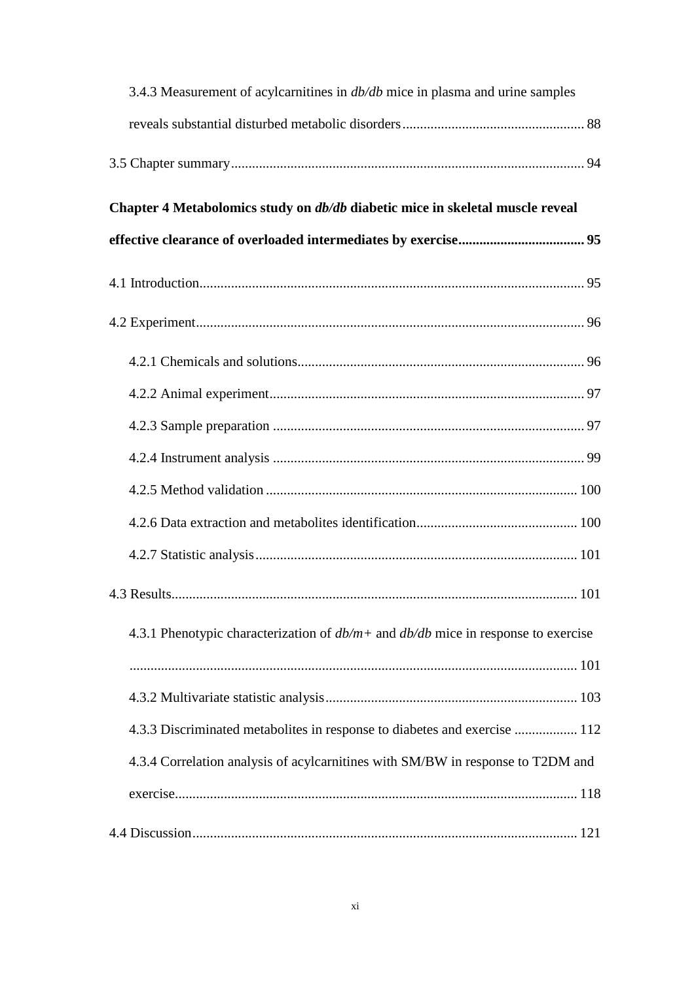| 3.4.3 Measurement of acylcarnitines in <i>db/db</i> mice in plasma and urine samples   |
|----------------------------------------------------------------------------------------|
|                                                                                        |
|                                                                                        |
| Chapter 4 Metabolomics study on <i>db/db</i> diabetic mice in skeletal muscle reveal   |
|                                                                                        |
|                                                                                        |
|                                                                                        |
|                                                                                        |
|                                                                                        |
|                                                                                        |
|                                                                                        |
|                                                                                        |
|                                                                                        |
|                                                                                        |
|                                                                                        |
| 4.3.1 Phenotypic characterization of $db/m +$ and $db/db$ mice in response to exercise |
|                                                                                        |
|                                                                                        |
| 4.3.3 Discriminated metabolites in response to diabetes and exercise  112              |
| 4.3.4 Correlation analysis of acylcarnitines with SM/BW in response to T2DM and        |
|                                                                                        |
|                                                                                        |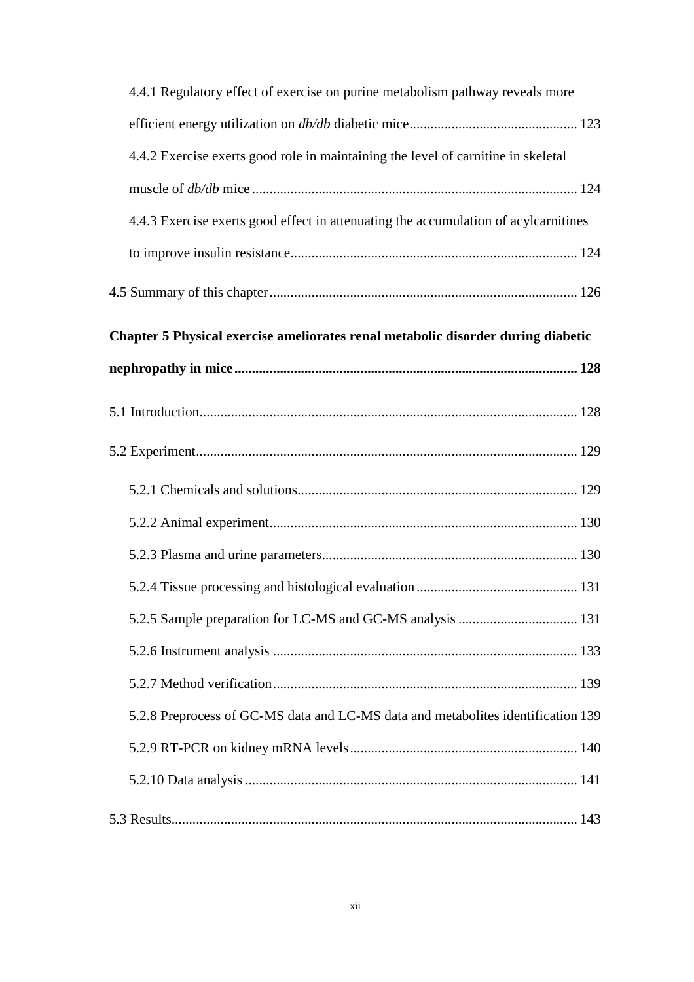| 4.4.1 Regulatory effect of exercise on purine metabolism pathway reveals more       |
|-------------------------------------------------------------------------------------|
|                                                                                     |
| 4.4.2 Exercise exerts good role in maintaining the level of carnitine in skeletal   |
|                                                                                     |
| 4.4.3 Exercise exerts good effect in attenuating the accumulation of acylcarnitines |
|                                                                                     |
|                                                                                     |
| Chapter 5 Physical exercise ameliorates renal metabolic disorder during diabetic    |
|                                                                                     |
|                                                                                     |
|                                                                                     |
|                                                                                     |
|                                                                                     |
|                                                                                     |
|                                                                                     |
|                                                                                     |
|                                                                                     |
|                                                                                     |
| 5.2.8 Preprocess of GC-MS data and LC-MS data and metabolites identification 139    |
|                                                                                     |
|                                                                                     |
|                                                                                     |